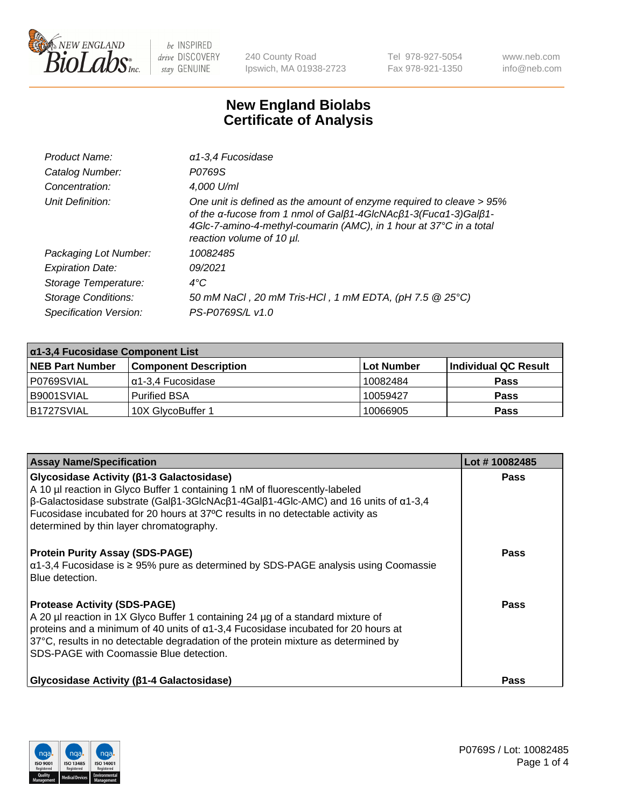

240 County Road Ipswich, MA 01938-2723 Tel 978-927-5054 Fax 978-921-1350 www.neb.com info@neb.com

## **New England Biolabs Certificate of Analysis**

| Product Name:              | a1-3,4 Fucosidase                                                                                                                                                                                                                          |
|----------------------------|--------------------------------------------------------------------------------------------------------------------------------------------------------------------------------------------------------------------------------------------|
| Catalog Number:            | P0769S                                                                                                                                                                                                                                     |
| Concentration:             | 4,000 U/ml                                                                                                                                                                                                                                 |
| Unit Definition:           | One unit is defined as the amount of enzyme required to cleave > 95%<br>of the α-fucose from 1 nmol of Galβ1-4GIcNAcβ1-3(Fucα1-3)Galβ1-<br>4Glc-7-amino-4-methyl-coumarin (AMC), in 1 hour at 37°C in a total<br>reaction volume of 10 µl. |
| Packaging Lot Number:      | 10082485                                                                                                                                                                                                                                   |
| <b>Expiration Date:</b>    | 09/2021                                                                                                                                                                                                                                    |
| Storage Temperature:       | $4^{\circ}$ C                                                                                                                                                                                                                              |
| <b>Storage Conditions:</b> | 50 mM NaCl, 20 mM Tris-HCl, 1 mM EDTA, (pH 7.5 @ 25°C)                                                                                                                                                                                     |
| Specification Version:     | PS-P0769S/L v1.0                                                                                                                                                                                                                           |

| $\alpha$ 1-3,4 Fucosidase Component List |                              |            |                      |  |
|------------------------------------------|------------------------------|------------|----------------------|--|
| <b>NEB Part Number</b>                   | <b>Component Description</b> | Lot Number | Individual QC Result |  |
| P0769SVIAL                               | α1-3,4 Fucosidase            | 10082484   | <b>Pass</b>          |  |
| B9001SVIAL                               | Purified BSA                 | 10059427   | <b>Pass</b>          |  |
| B1727SVIAL                               | 10X GlycoBuffer 1            | 10066905   | <b>Pass</b>          |  |

| <b>Assay Name/Specification</b>                                                                                                                                                                                                                                                                                                                                                            | Lot #10082485 |
|--------------------------------------------------------------------------------------------------------------------------------------------------------------------------------------------------------------------------------------------------------------------------------------------------------------------------------------------------------------------------------------------|---------------|
| <b>Glycosidase Activity (β1-3 Galactosidase)</b><br>A 10 µl reaction in Glyco Buffer 1 containing 1 nM of fluorescently-labeled<br>$\beta$ -Galactosidase substrate (Gal $\beta$ 1-3GlcNAc $\beta$ 1-4Gal $\beta$ 1-4Glc-AMC) and 16 units of $\alpha$ 1-3,4<br>Fucosidase incubated for 20 hours at 37°C results in no detectable activity as<br>determined by thin layer chromatography. | <b>Pass</b>   |
| <b>Protein Purity Assay (SDS-PAGE)</b><br>$\alpha$ 1-3,4 Fucosidase is ≥ 95% pure as determined by SDS-PAGE analysis using Coomassie<br><b>Blue detection.</b>                                                                                                                                                                                                                             | <b>Pass</b>   |
| <b>Protease Activity (SDS-PAGE)</b><br>A 20 µl reaction in 1X Glyco Buffer 1 containing 24 µg of a standard mixture of<br>proteins and a minimum of 40 units of $\alpha$ 1-3,4 Fucosidase incubated for 20 hours at<br>37°C, results in no detectable degradation of the protein mixture as determined by<br>ISDS-PAGE with Coomassie Blue detection.                                      | <b>Pass</b>   |
| Glycosidase Activity (β1-4 Galactosidase)                                                                                                                                                                                                                                                                                                                                                  | Pass          |

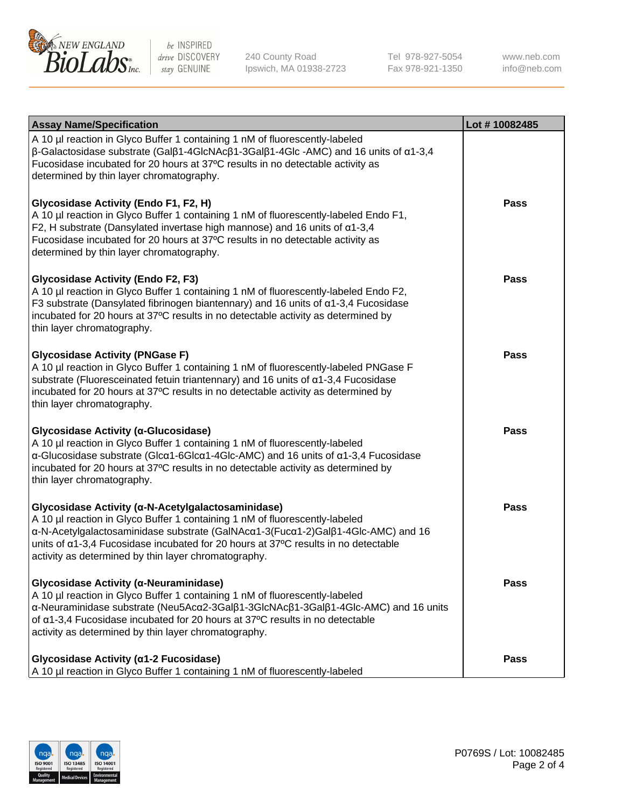

240 County Road Ipswich, MA 01938-2723 Tel 978-927-5054 Fax 978-921-1350 www.neb.com info@neb.com

| <b>Assay Name/Specification</b>                                                                                                                                                                                                                                                                                                                                     | Lot #10082485 |
|---------------------------------------------------------------------------------------------------------------------------------------------------------------------------------------------------------------------------------------------------------------------------------------------------------------------------------------------------------------------|---------------|
| A 10 µl reaction in Glyco Buffer 1 containing 1 nM of fluorescently-labeled<br>$\beta$ -Galactosidase substrate (Galβ1-4GlcNAcβ1-3Galβ1-4Glc -AMC) and 16 units of α1-3,4<br>Fucosidase incubated for 20 hours at 37°C results in no detectable activity as<br>determined by thin layer chromatography.                                                             |               |
| Glycosidase Activity (Endo F1, F2, H)<br>A 10 µl reaction in Glyco Buffer 1 containing 1 nM of fluorescently-labeled Endo F1,<br>F2, H substrate (Dansylated invertase high mannose) and 16 units of $\alpha$ 1-3,4<br>Fucosidase incubated for 20 hours at 37°C results in no detectable activity as<br>determined by thin layer chromatography.                   | <b>Pass</b>   |
| <b>Glycosidase Activity (Endo F2, F3)</b><br>A 10 µl reaction in Glyco Buffer 1 containing 1 nM of fluorescently-labeled Endo F2,<br>F3 substrate (Dansylated fibrinogen biantennary) and 16 units of $\alpha$ 1-3,4 Fucosidase<br>incubated for 20 hours at 37°C results in no detectable activity as determined by<br>thin layer chromatography.                  | <b>Pass</b>   |
| <b>Glycosidase Activity (PNGase F)</b><br>A 10 µl reaction in Glyco Buffer 1 containing 1 nM of fluorescently-labeled PNGase F<br>substrate (Fluoresceinated fetuin triantennary) and 16 units of α1-3,4 Fucosidase<br>incubated for 20 hours at 37°C results in no detectable activity as determined by<br>thin layer chromatography.                              | <b>Pass</b>   |
| Glycosidase Activity (α-Glucosidase)<br>A 10 µl reaction in Glyco Buffer 1 containing 1 nM of fluorescently-labeled<br>$\alpha$ -Glucosidase substrate (Glc $\alpha$ 1-6Glc $\alpha$ 1-4Glc-AMC) and 16 units of $\alpha$ 1-3,4 Fucosidase<br>incubated for 20 hours at 37°C results in no detectable activity as determined by<br>thin layer chromatography.       | <b>Pass</b>   |
| Glycosidase Activity (α-N-Acetylgalactosaminidase)<br>A 10 µl reaction in Glyco Buffer 1 containing 1 nM of fluorescently-labeled<br>α-N-Acetylgalactosaminidase substrate (GalNAcα1-3(Fucα1-2)Galβ1-4Glc-AMC) and 16<br>units of a1-3,4 Fucosidase incubated for 20 hours at 37°C results in no detectable<br>activity as determined by thin layer chromatography. | Pass          |
| Glycosidase Activity (α-Neuraminidase)<br>A 10 µl reaction in Glyco Buffer 1 containing 1 nM of fluorescently-labeled<br>α-Neuraminidase substrate (Neu5Acα2-3Galβ1-3GlcNAcβ1-3Galβ1-4Glc-AMC) and 16 units<br>of α1-3,4 Fucosidase incubated for 20 hours at 37°C results in no detectable<br>activity as determined by thin layer chromatography.                 | <b>Pass</b>   |
| Glycosidase Activity (α1-2 Fucosidase)<br>A 10 µl reaction in Glyco Buffer 1 containing 1 nM of fluorescently-labeled                                                                                                                                                                                                                                               | <b>Pass</b>   |

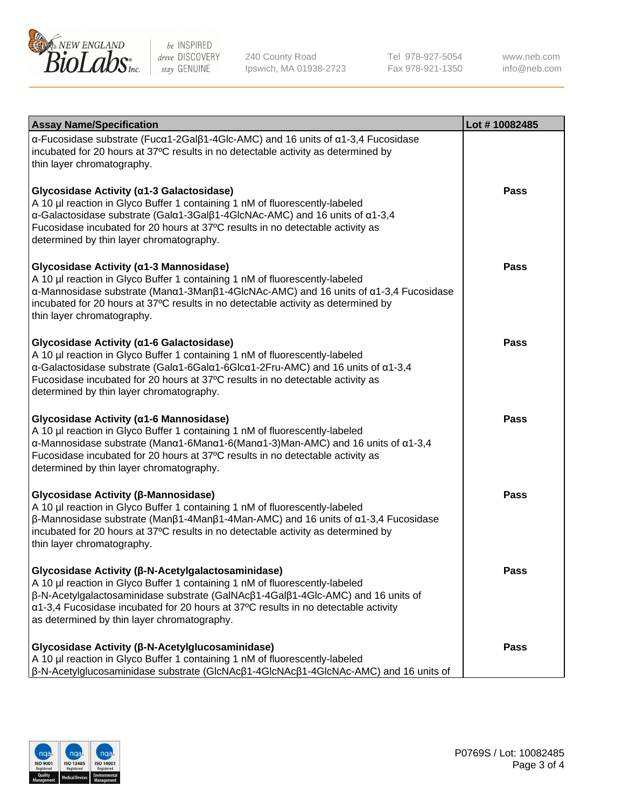

240 County Road Ipswich, MA 01938-2723 Tel 978-927-5054 Fax 978-921-1350

www.neb.com info@neb.com

| <b>Assay Name/Specification</b>                                                                                                                                                                                                                                                                                                                                                    | Lot #10082485 |
|------------------------------------------------------------------------------------------------------------------------------------------------------------------------------------------------------------------------------------------------------------------------------------------------------------------------------------------------------------------------------------|---------------|
| $\alpha$ -Fucosidase substrate (Fuc $\alpha$ 1-2Gal $\beta$ 1-4Glc-AMC) and 16 units of $\alpha$ 1-3,4 Fucosidase<br>incubated for 20 hours at 37°C results in no detectable activity as determined by<br>thin layer chromatography.                                                                                                                                               |               |
| Glycosidase Activity (α1-3 Galactosidase)<br>A 10 µl reaction in Glyco Buffer 1 containing 1 nM of fluorescently-labeled<br>α-Galactosidase substrate (Galα1-3Galβ1-4GlcNAc-AMC) and 16 units of α1-3,4<br>Fucosidase incubated for 20 hours at 37°C results in no detectable activity as<br>determined by thin layer chromatography.                                              | Pass          |
| Glycosidase Activity (α1-3 Mannosidase)<br>A 10 µl reaction in Glyco Buffer 1 containing 1 nM of fluorescently-labeled<br>$\alpha$ -Mannosidase substrate (Man $\alpha$ 1-3Man $\beta$ 1-4GlcNAc-AMC) and 16 units of $\alpha$ 1-3,4 Fucosidase<br>incubated for 20 hours at 37°C results in no detectable activity as determined by<br>thin layer chromatography.                 | Pass          |
| Glycosidase Activity (α1-6 Galactosidase)<br>A 10 µl reaction in Glyco Buffer 1 containing 1 nM of fluorescently-labeled<br>α-Galactosidase substrate (Galα1-6Galα1-6Glcα1-2Fru-AMC) and 16 units of α1-3,4<br>Fucosidase incubated for 20 hours at 37°C results in no detectable activity as<br>determined by thin layer chromatography.                                          | Pass          |
| Glycosidase Activity (α1-6 Mannosidase)<br>A 10 µl reaction in Glyco Buffer 1 containing 1 nM of fluorescently-labeled<br>$\alpha$ -Mannosidase substrate (Man $\alpha$ 1-6Man $\alpha$ 1-6(Man $\alpha$ 1-3)Man-AMC) and 16 units of $\alpha$ 1-3,4<br>Fucosidase incubated for 20 hours at 37°C results in no detectable activity as<br>determined by thin layer chromatography. | <b>Pass</b>   |
| Glycosidase Activity (β-Mannosidase)<br>A 10 µl reaction in Glyco Buffer 1 containing 1 nM of fluorescently-labeled<br>$β$ -Mannosidase substrate (Man $β1$ -4Man $β1$ -4Man-AMC) and 16 units of $α1$ -3,4 Fucosidase<br>incubated for 20 hours at 37°C results in no detectable activity as determined by<br>thin layer chromatography.                                          | Pass          |
| Glycosidase Activity (β-N-Acetylgalactosaminidase)<br>A 10 µl reaction in Glyco Buffer 1 containing 1 nM of fluorescently-labeled<br>β-N-Acetylgalactosaminidase substrate (GalNAcβ1-4Galβ1-4Glc-AMC) and 16 units of<br>α1-3,4 Fucosidase incubated for 20 hours at 37°C results in no detectable activity<br>as determined by thin layer chromatography.                         | <b>Pass</b>   |
| Glycosidase Activity (β-N-Acetylglucosaminidase)<br>A 10 µl reaction in Glyco Buffer 1 containing 1 nM of fluorescently-labeled<br>$\beta$ -N-Acetylglucosaminidase substrate (GIcNAc $\beta$ 1-4GIcNAc $\beta$ 1-4GIcNAc-AMC) and 16 units of                                                                                                                                     | Pass          |